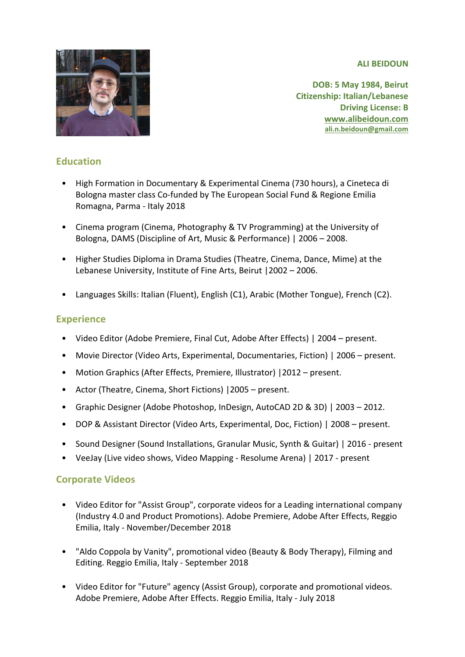**ALI BEIDOUN** 



**DOB: 5 May 1984, Beirut Citizenship: Italian/Lebanese Driving License: B www.alibeidoun.com ali.n.beidoun@gmail.com**

# **Education**

- High Formation in Documentary & Experimental Cinema (730 hours), a Cineteca di Bologna master class Co-funded by The European Social Fund & Regione Emilia Romagna, Parma - Italy 2018
- Cinema program (Cinema, Photography & TV Programming) at the University of Bologna, DAMS (Discipline of Art, Music & Performance) | 2006 - 2008.
- Higher Studies Diploma in Drama Studies (Theatre, Cinema, Dance, Mime) at the Lebanese University, Institute of Fine Arts, Beirut | 2002 - 2006.
- Languages Skills: Italian (Fluent), English (C1), Arabic (Mother Tongue), French (C2).

## **Experience**

- Video Editor (Adobe Premiere, Final Cut, Adobe After Effects) | 2004 present.
- Movie Director (Video Arts, Experimental, Documentaries, Fiction) | 2006 present.
- Motion Graphics (After Effects, Premiere, Illustrator) | 2012 present.
- Actor (Theatre, Cinema, Short Fictions) | 2005 present.
- Graphic Designer (Adobe Photoshop, InDesign, AutoCAD 2D & 3D) | 2003 2012.
- DOP & Assistant Director (Video Arts, Experimental, Doc, Fiction) | 2008 present.
- Sound Designer (Sound Installations, Granular Music, Synth & Guitar) | 2016 present
- VeeJay (Live video shows, Video Mapping Resolume Arena) | 2017 present

#### **Corporate Videos**

- Video Editor for "Assist Group", corporate videos for a Leading international company (Industry 4.0 and Product Promotions). Adobe Premiere, Adobe After Effects, Reggio Emilia, Italy - November/December 2018
- "Aldo Coppola by Vanity", promotional video (Beauty & Body Therapy), Filming and Editing. Reggio Emilia, Italy - September 2018
- Video Editor for "Future" agency (Assist Group), corporate and promotional videos. Adobe Premiere, Adobe After Effects. Reggio Emilia, Italy - July 2018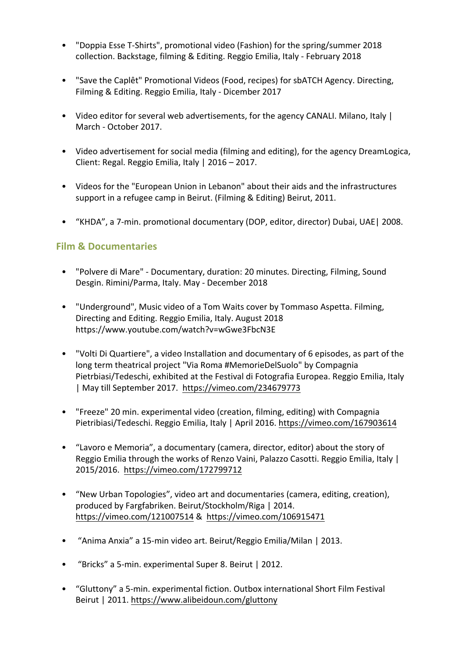- "Doppia Esse T-Shirts", promotional video (Fashion) for the spring/summer 2018 collection. Backstage, filming & Editing. Reggio Emilia, Italy - February 2018
- "Save the Caplêt" Promotional Videos (Food, recipes) for sbATCH Agency. Directing, Filming & Editing. Reggio Emilia, Italy - Dicember 2017
- Video editor for several web advertisements, for the agency CANALI. Milano, Italy | March - October 2017.
- Video advertisement for social media (filming and editing), for the agency DreamLogica, Client: Regal. Reggio Emilia, Italy  $|2016 - 2017$ .
- Videos for the "European Union in Lebanon" about their aids and the infrastructures support in a refugee camp in Beirut. (Filming & Editing) Beirut, 2011.
- "KHDA", a 7-min. promotional documentary (DOP, editor, director) Dubai, UAE | 2008.

## **Film & Documentaries**

- "Polvere di Mare" Documentary, duration: 20 minutes. Directing, Filming, Sound Desgin. Rimini/Parma, Italy. May - December 2018
- "Underground", Music video of a Tom Waits cover by Tommaso Aspetta. Filming, Directing and Editing. Reggio Emilia, Italy. August 2018 https://www.youtube.com/watch?v=wGwe3FbcN3E
- "Volti Di Quartiere", a video Installation and documentary of 6 episodes, as part of the long term theatrical project "Via Roma #MemorieDelSuolo" by Compagnia Pietrbiasi/Tedeschi, exhibited at the Festival di Fotografia Europea. Reggio Emilia, Italy | May till September 2017. https://vimeo.com/234679773
- "Freeze" 20 min. experimental video (creation, filming, editing) with Compagnia Pietribiasi/Tedeschi. Reggio Emilia, Italy | April 2016. https://vimeo.com/167903614
- "Lavoro e Memoria", a documentary (camera, director, editor) about the story of Reggio Emilia through the works of Renzo Vaini, Palazzo Casotti. Reggio Emilia, Italy | 2015/2016. https://vimeo.com/172799712
- "New Urban Topologies", video art and documentaries (camera, editing, creation), produced by Fargfabriken. Beirut/Stockholm/Riga | 2014. https://vimeo.com/121007514 & https://vimeo.com/106915471
- "Anima Anxia" a 15-min video art. Beirut/Reggio Emilia/Milan | 2013.
- "Bricks" a 5-min. experimental Super 8. Beirut | 2012.
- "Gluttony" a 5-min. experimental fiction. Outbox international Short Film Festival Beirut | 2011. https://www.alibeidoun.com/gluttony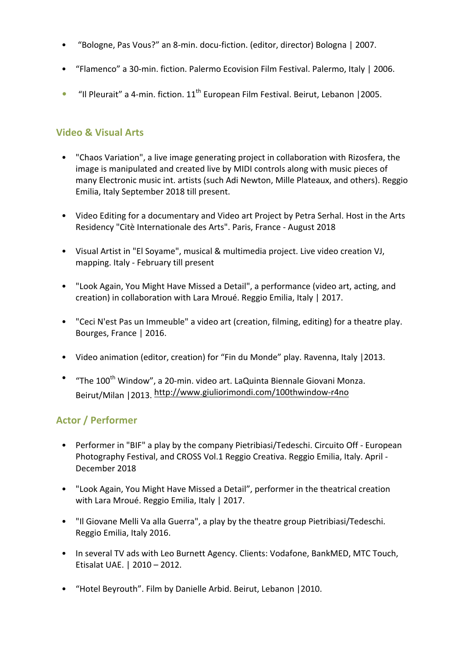- "Bologne, Pas Vous?" an 8-min. docu-fiction. (editor, director) Bologna | 2007.
- "Flamenco" a 30-min. fiction. Palermo Ecovision Film Festival. Palermo, Italy | 2006.
- "Il Pleurait" a 4-min. fiction.  $11<sup>th</sup>$  European Film Festival. Beirut, Lebanon |2005.

## **Video & Visual Arts**

- "Chaos Variation", a live image generating project in collaboration with Rizosfera, the image is manipulated and created live by MIDI controls along with music pieces of many Electronic music int. artists (such Adi Newton, Mille Plateaux, and others). Reggio Emilia, Italy September 2018 till present.
- Video Editing for a documentary and Video art Project by Petra Serhal. Host in the Arts Residency "Citè Internationale des Arts". Paris, France - August 2018
- Visual Artist in "El Soyame", musical & multimedia project. Live video creation VJ, mapping. Italy - February till present
- "Look Again, You Might Have Missed a Detail", a performance (video art, acting, and creation) in collaboration with Lara Mroué. Reggio Emilia, Italy | 2017.
- "Ceci N'est Pas un Immeuble" a video art (creation, filming, editing) for a theatre play. Bourges, France | 2016.
- Video animation (editor, creation) for "Fin du Monde" play. Ravenna, Italy |2013.
- "The  $100^{\text{th}}$  Window", a 20-min. video art. LaQuinta Biennale Giovani Monza. Beirut/Milan | 2013. http://www.giuliorimondi.com/100thwindow-r4no

# **Actor / Performer**

- Performer in "BIF" a play by the company Pietribiasi/Tedeschi. Circuito Off European Photography Festival, and CROSS Vol.1 Reggio Creativa. Reggio Emilia, Italy. April -December 2018
- "Look Again, You Might Have Missed a Detail", performer in the theatrical creation with Lara Mroué. Reggio Emilia, Italy | 2017.
- "Il Giovane Melli Va alla Guerra", a play by the theatre group Pietribiasi/Tedeschi. Reggio Emilia, Italy 2016.
- In several TV ads with Leo Burnett Agency. Clients: Vodafone, BankMED, MTC Touch, Etisalat UAE. | 2010 - 2012.
- "Hotel Beyrouth". Film by Danielle Arbid. Beirut, Lebanon | 2010.